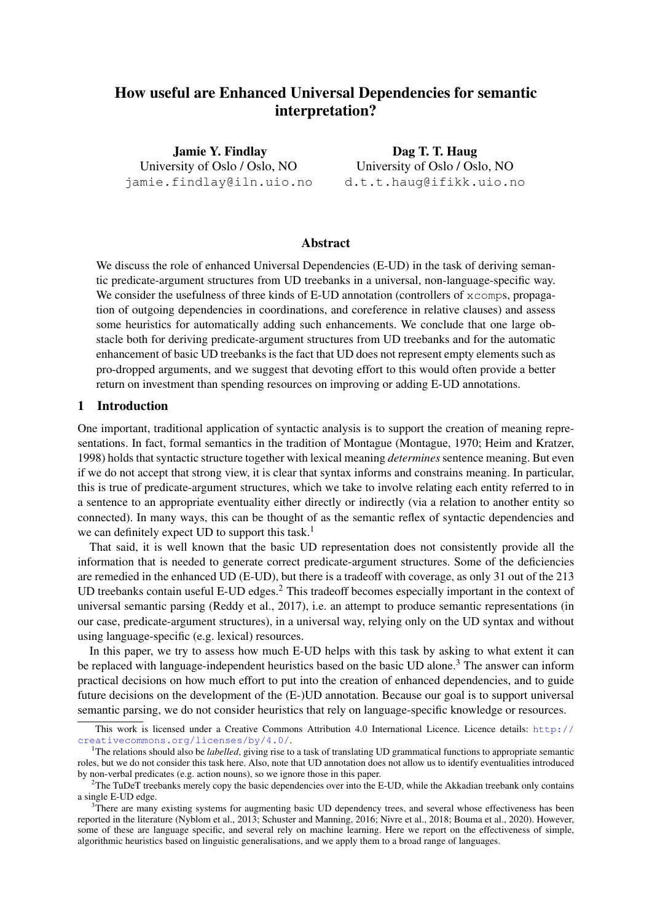# How useful are Enhanced Universal Dependencies for semantic interpretation?

Jamie Y. Findlay University of Oslo / Oslo, NO jamie.findlay@iln.uio.no

Dag T. T. Haug University of Oslo / Oslo, NO d.t.t.haug@ifikk.uio.no

### Abstract

We discuss the role of enhanced Universal Dependencies (E-UD) in the task of deriving semantic predicate-argument structures from UD treebanks in a universal, non-language-specific way. We consider the usefulness of three kinds of E-UD annotation (controllers of  $x \in \mathbb{R}$  propagation of outgoing dependencies in coordinations, and coreference in relative clauses) and assess some heuristics for automatically adding such enhancements. We conclude that one large obstacle both for deriving predicate-argument structures from UD treebanks and for the automatic enhancement of basic UD treebanks is the fact that UD does not represent empty elements such as pro-dropped arguments, and we suggest that devoting effort to this would often provide a better return on investment than spending resources on improving or adding E-UD annotations.

# 1 Introduction

One important, traditional application of syntactic analysis is to support the creation of meaning representations. In fact, formal semantics in the tradition of Montague [\(Montague, 1970;](#page-12-0) [Heim and Kratzer,](#page-11-0) [1998\)](#page-11-0) holds that syntactic structure together with lexical meaning *determines* sentence meaning. But even if we do not accept that strong view, it is clear that syntax informs and constrains meaning. In particular, this is true of predicate-argument structures, which we take to involve relating each entity referred to in a sentence to an appropriate eventuality either directly or indirectly (via a relation to another entity so connected). In many ways, this can be thought of as the semantic reflex of syntactic dependencies and we can definitely expect UD to support this task.<sup>[1](#page-0-0)</sup>

That said, it is well known that the basic UD representation does not consistently provide all the information that is needed to generate correct predicate-argument structures. Some of the deficiencies are remedied in the enhanced UD (E-UD), but there is a tradeoff with coverage, as only 31 out of the 213 UD treebanks contain useful E-UD edges.<sup>[2](#page-0-1)</sup> This tradeoff becomes especially important in the context of universal semantic parsing [\(Reddy et al., 2017\)](#page-12-1), i.e. an attempt to produce semantic representations (in our case, predicate-argument structures), in a universal way, relying only on the UD syntax and without using language-specific (e.g. lexical) resources.

In this paper, we try to assess how much E-UD helps with this task by asking to what extent it can be replaced with language-independent heuristics based on the basic UD alone.<sup>[3](#page-0-2)</sup> The answer can inform practical decisions on how much effort to put into the creation of enhanced dependencies, and to guide future decisions on the development of the (E-)UD annotation. Because our goal is to support universal semantic parsing, we do not consider heuristics that rely on language-specific knowledge or resources.

This work is licensed under a Creative Commons Attribution 4.0 International Licence. Licence details: [http://](http://creativecommons.org/licenses/by/4.0/) [creativecommons.org/licenses/by/4.0/](http://creativecommons.org/licenses/by/4.0/).

<span id="page-0-0"></span><sup>&</sup>lt;sup>1</sup>The relations should also be *labelled*, giving rise to a task of translating UD grammatical functions to appropriate semantic roles, but we do not consider this task here. Also, note that UD annotation does not allow us to identify eventualities introduced by non-verbal predicates (e.g. action nouns), so we ignore those in this paper.

<span id="page-0-1"></span> $2$ The TuDeT treebanks merely copy the basic dependencies over into the E-UD, while the Akkadian treebank only contains a single E-UD edge.

<span id="page-0-2"></span><sup>&</sup>lt;sup>3</sup>There are many existing systems for augmenting basic UD dependency trees, and several whose effectiveness has been reported in the literature [\(Nyblom et al., 2013;](#page-12-2) [Schuster and Manning, 2016;](#page-12-3) [Nivre et al., 2018;](#page-12-4) [Bouma et al., 2020\)](#page-11-1). However, some of these are language specific, and several rely on machine learning. Here we report on the effectiveness of simple, algorithmic heuristics based on linguistic generalisations, and we apply them to a broad range of languages.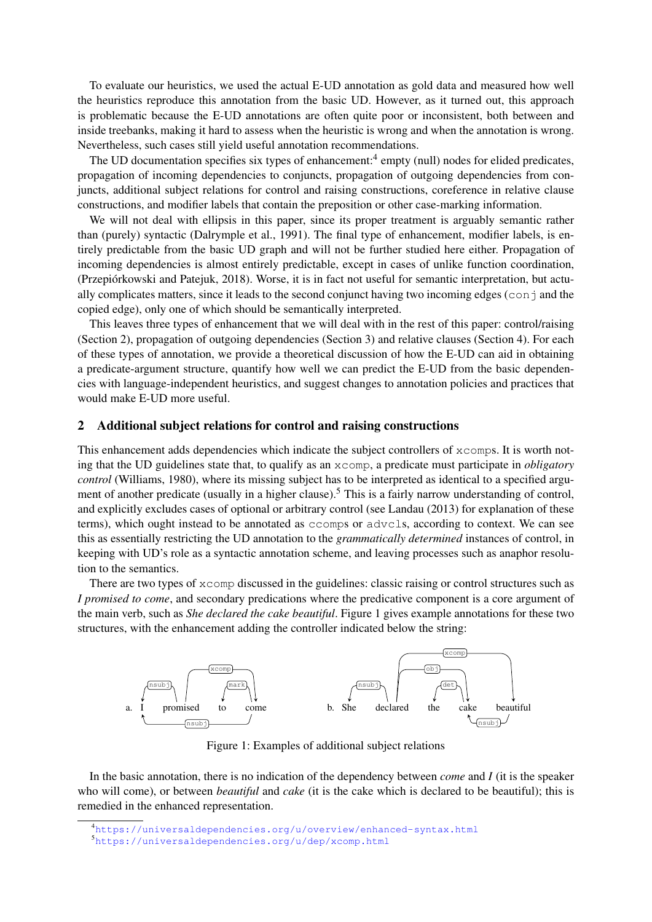To evaluate our heuristics, we used the actual E-UD annotation as gold data and measured how well the heuristics reproduce this annotation from the basic UD. However, as it turned out, this approach is problematic because the E-UD annotations are often quite poor or inconsistent, both between and inside treebanks, making it hard to assess when the heuristic is wrong and when the annotation is wrong. Nevertheless, such cases still yield useful annotation recommendations.

The UD documentation specifies six types of enhancement:<sup>[4](#page-1-0)</sup> empty (null) nodes for elided predicates, propagation of incoming dependencies to conjuncts, propagation of outgoing dependencies from conjuncts, additional subject relations for control and raising constructions, coreference in relative clause constructions, and modifier labels that contain the preposition or other case-marking information.

We will not deal with ellipsis in this paper, since its proper treatment is arguably semantic rather than (purely) syntactic [\(Dalrymple et al., 1991\)](#page-11-2). The final type of enhancement, modifier labels, is entirely predictable from the basic UD graph and will not be further studied here either. Propagation of incoming dependencies is almost entirely predictable, except in cases of unlike function coordination, [\(Przepiórkowski and Patejuk, 2018\)](#page-12-5). Worse, it is in fact not useful for semantic interpretation, but actually complicates matters, since it leads to the second conjunct having two incoming edges (con  $\dagger$  and the copied edge), only one of which should be semantically interpreted.

This leaves three types of enhancement that we will deal with in the rest of this paper: control/raising (Section [2\)](#page-1-1), propagation of outgoing dependencies (Section [3\)](#page-5-0) and relative clauses (Section [4\)](#page-8-0). For each of these types of annotation, we provide a theoretical discussion of how the E-UD can aid in obtaining a predicate-argument structure, quantify how well we can predict the E-UD from the basic dependencies with language-independent heuristics, and suggest changes to annotation policies and practices that would make E-UD more useful.

# <span id="page-1-1"></span>2 Additional subject relations for control and raising constructions

This enhancement adds dependencies which indicate the subject controllers of xcomps. It is worth noting that the UD guidelines state that, to qualify as an xcomp, a predicate must participate in *obligatory control* [\(Williams, 1980\)](#page-12-6), where its missing subject has to be interpreted as identical to a specified argu-ment of another predicate (usually in a higher clause).<sup>[5](#page-1-2)</sup> This is a fairly narrow understanding of control, and explicitly excludes cases of optional or arbitrary control (see [Landau \(2013\)](#page-12-7) for explanation of these terms), which ought instead to be annotated as ccomps or advcls, according to context. We can see this as essentially restricting the UD annotation to the *grammatically determined* instances of control, in keeping with UD's role as a syntactic annotation scheme, and leaving processes such as anaphor resolution to the semantics.

There are two types of xcomp discussed in the guidelines: classic raising or control structures such as *I promised to come*, and secondary predications where the predicative component is a core argument of the main verb, such as *She declared the cake beautiful*. Figure [1](#page-1-3) gives example annotations for these two structures, with the enhancement adding the controller indicated below the string:

<span id="page-1-3"></span>

Figure 1: Examples of additional subject relations

In the basic annotation, there is no indication of the dependency between *come* and *I* (it is the speaker who will come), or between *beautiful* and *cake* (it is the cake which is declared to be beautiful); this is remedied in the enhanced representation.

<span id="page-1-0"></span><sup>4</sup><https://universaldependencies.org/u/overview/enhanced-syntax.html>

<span id="page-1-2"></span><sup>5</sup><https://universaldependencies.org/u/dep/xcomp.html>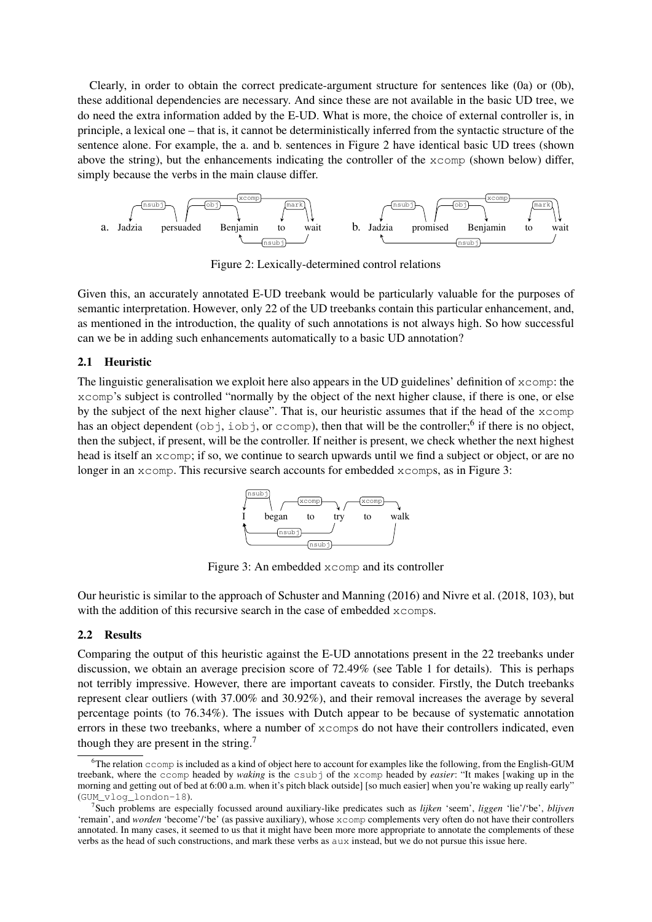Clearly, in order to obtain the correct predicate-argument structure for sentences like (0a) or (0b), these additional dependencies are necessary. And since these are not available in the basic UD tree, we do need the extra information added by the E-UD. What is more, the choice of external controller is, in principle, a lexical one – that is, it cannot be deterministically inferred from the syntactic structure of the sentence alone. For example, the a. and b. sentences in Figure [2](#page-2-0) have identical basic UD trees (shown above the string), but the enhancements indicating the controller of the xcomp (shown below) differ, simply because the verbs in the main clause differ.

<span id="page-2-0"></span>

Figure 2: Lexically-determined control relations

Given this, an accurately annotated E-UD treebank would be particularly valuable for the purposes of semantic interpretation. However, only 22 of the UD treebanks contain this particular enhancement, and, as mentioned in the introduction, the quality of such annotations is not always high. So how successful can we be in adding such enhancements automatically to a basic UD annotation?

# 2.1 Heuristic

<span id="page-2-2"></span>The linguistic generalisation we exploit here also appears in the UD guidelines' definition of  $x$ comp: the xcomp's subject is controlled "normally by the object of the next higher clause, if there is one, or else by the subject of the next higher clause". That is, our heuristic assumes that if the head of the xcomp has an object dependent  $(obj, iobj, or ccomp)$ , then that will be the controller;<sup>[6](#page-2-1)</sup> if there is no object, then the subject, if present, will be the controller. If neither is present, we check whether the next highest head is itself an  $x \text{ comp}$ ; if so, we continue to search upwards until we find a subject or object, or are no longer in an  $x$ comp. This recursive search accounts for embedded  $x$ comps, as in Figure [3:](#page-2-2)



Figure 3: An embedded xcomp and its controller

Our heuristic is similar to the approach of [Schuster and Manning \(2016\)](#page-12-3) and [Nivre et al. \(2018,](#page-12-4) 103), but with the addition of this recursive search in the case of embedded  $x$ comps.

#### 2.2 Results

Comparing the output of this heuristic against the E-UD annotations present in the 22 treebanks under discussion, we obtain an average precision score of 72.49% (see Table [1](#page-3-0) for details). This is perhaps not terribly impressive. However, there are important caveats to consider. Firstly, the Dutch treebanks represent clear outliers (with 37.00% and 30.92%), and their removal increases the average by several percentage points (to 76.34%). The issues with Dutch appear to be because of systematic annotation errors in these two treebanks, where a number of xcomps do not have their controllers indicated, even though they are present in the string.[7](#page-2-3)

<span id="page-2-1"></span> $6$ The relation  $c$ comp is included as a kind of object here to account for examples like the following, from the English-GUM treebank, where the ccomp headed by *waking* is the csubj of the xcomp headed by *easier*: "It makes [waking up in the morning and getting out of bed at 6:00 a.m. when it's pitch black outside] [so much easier] when you're waking up really early" (GUM\_vlog\_london-18).

<span id="page-2-3"></span><sup>7</sup> Such problems are especially focussed around auxiliary-like predicates such as *lijken* 'seem', *liggen* 'lie'/'be', *blijven* 'remain', and *worden* 'become'/'be' (as passive auxiliary), whose xcomp complements very often do not have their controllers annotated. In many cases, it seemed to us that it might have been more more appropriate to annotate the complements of these verbs as the head of such constructions, and mark these verbs as aux instead, but we do not pursue this issue here.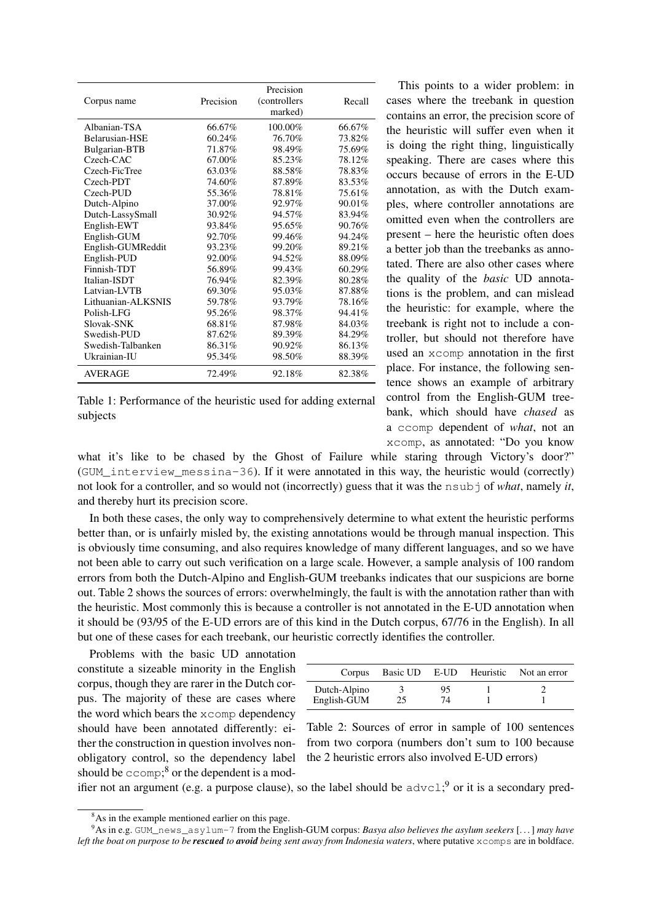<span id="page-3-0"></span>

| Corpus name        | Precision | Precision<br>(controllers)<br>marked) | Recall |
|--------------------|-----------|---------------------------------------|--------|
| Albanian-TSA       | 66.67%    | 100.00%                               | 66.67% |
| Belarusian-HSE     | 60.24%    | 76.70%                                | 73.82% |
| Bulgarian-BTB      | 71.87%    | 98.49%                                | 75.69% |
| Czech-CAC          | 67.00%    | 85.23%                                | 78.12% |
| Czech-FicTree      | 63.03%    | 88.58%                                | 78.83% |
| Czech-PDT          | 74.60%    | 87.89%                                | 83.53% |
| Czech-PUD          | 55.36%    | 78.81%                                | 75.61% |
| Dutch-Alpino       | 37.00%    | 92.97%                                | 90.01% |
| Dutch-LassySmall   | 30.92%    | 94.57%                                | 83.94% |
| English-EWT        | 93.84%    | 95.65%                                | 90.76% |
| English-GUM        | 92.70%    | 99.46%                                | 94.24% |
| English-GUMReddit  | 93.23%    | 99.20%                                | 89.21% |
| English-PUD        | 92.00%    | 94.52%                                | 88.09% |
| Finnish-TDT        | 56.89%    | 99.43%                                | 60.29% |
| Italian-ISDT       | 76.94%    | 82.39%                                | 80.28% |
| Latvian-LVTB       | 69.30%    | 95.03%                                | 87.88% |
| Lithuanian-ALKSNIS | 59.78%    | 93.79%                                | 78.16% |
| Polish-LFG         | 95.26%    | 98.37%                                | 94.41% |
| Slovak-SNK         | 68.81%    | 87.98%                                | 84.03% |
| Swedish-PUD        | 87.62%    | 89.39%                                | 84.29% |
| Swedish-Talbanken  | 86.31%    | 90.92%                                | 86.13% |
| Ukrainian-IU       | 95.34%    | 98.50%                                | 88.39% |
| <b>AVERAGE</b>     | 72.49%    | 92.18%                                | 82.38% |

|          | Table 1: Performance of the heuristic used for adding external |  |  |  |
|----------|----------------------------------------------------------------|--|--|--|
| subjects |                                                                |  |  |  |

This points to a wider problem: in cases where the treebank in question contains an error, the precision score of the heuristic will suffer even when it is doing the right thing, linguistically speaking. There are cases where this occurs because of errors in the E-UD annotation, as with the Dutch examples, where controller annotations are omitted even when the controllers are present – here the heuristic often does a better job than the treebanks as annotated. There are also other cases where the quality of the *basic* UD annotations is the problem, and can mislead the heuristic: for example, where the treebank is right not to include a controller, but should not therefore have used an xcomp annotation in the first place. For instance, the following sentence shows an example of arbitrary control from the English-GUM treebank, which should have *chased* as a ccomp dependent of *what*, not an xcomp, as annotated: "Do you know

what it's like to be chased by the Ghost of Failure while staring through Victory's door?" (GUM\_interview\_messina-36). If it were annotated in this way, the heuristic would (correctly) not look for a controller, and so would not (incorrectly) guess that it was the nsubj of *what*, namely *it*, and thereby hurt its precision score.

In both these cases, the only way to comprehensively determine to what extent the heuristic performs better than, or is unfairly misled by, the existing annotations would be through manual inspection. This is obviously time consuming, and also requires knowledge of many different languages, and so we have not been able to carry out such verification on a large scale. However, a sample analysis of 100 random errors from both the Dutch-Alpino and English-GUM treebanks indicates that our suspicions are borne out. Table [2](#page-3-1) shows the sources of errors: overwhelmingly, the fault is with the annotation rather than with the heuristic. Most commonly this is because a controller is not annotated in the E-UD annotation when it should be (93/95 of the E-UD errors are of this kind in the Dutch corpus, 67/76 in the English). In all but one of these cases for each treebank, our heuristic correctly identifies the controller.

Problems with the basic UD annotation constitute a sizeable minority in the English corpus, though they are rarer in the Dutch corpus. The majority of these are cases where the word which bears the xcomp dependency should have been annotated differently: either the construction in question involves nonobligatory control, so the dependency label should be  $\mathsf{ccomp};^8$  $\mathsf{ccomp};^8$  or the dependent is a mod-

<span id="page-3-1"></span>

| Corpus       |    |    | Basic UD E-UD Heuristic Not an error |
|--------------|----|----|--------------------------------------|
| Dutch-Alpino |    | 95 |                                      |
| English-GUM  | 25 | 74 |                                      |

Table 2: Sources of error in sample of 100 sentences from two corpora (numbers don't sum to 100 because the 2 heuristic errors also involved E-UD errors)

ifier not an argument (e.g. a purpose clause), so the label should be  $advcl; 9$  $advcl; 9$  or it is a secondary pred-

<span id="page-3-3"></span><span id="page-3-2"></span><sup>&</sup>lt;sup>8</sup>As in the example mentioned earlier on this page.

<sup>9</sup>As in e.g. GUM\_news\_asylum-7 from the English-GUM corpus: *Basya also believes the asylum seekers* [. . . ] *may have left the boat on purpose to be rescued to avoid being sent away from Indonesia waters*, where putative xcomps are in boldface.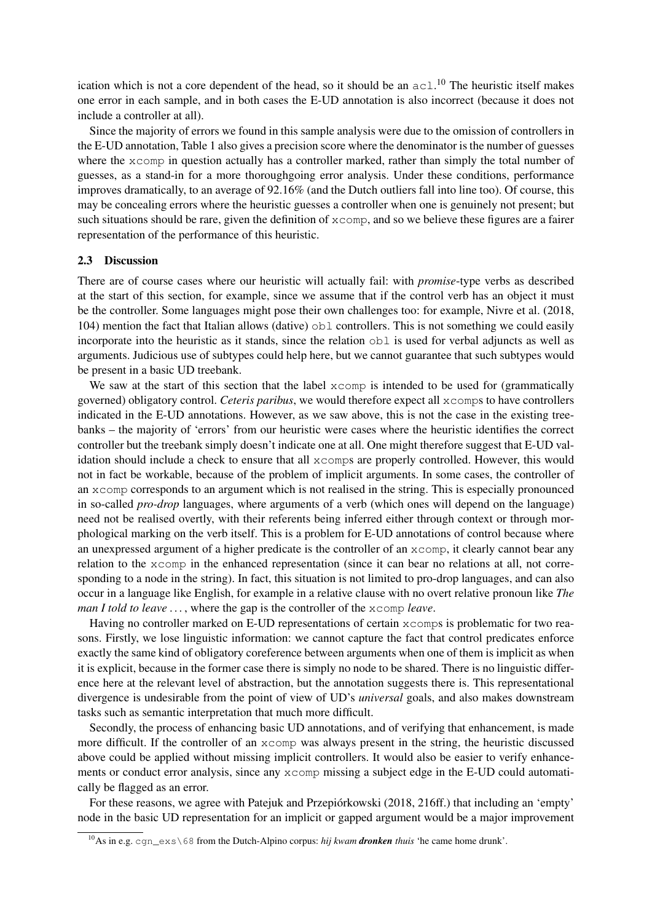ication which is not a core dependent of the head, so it should be an  $ac1$ .<sup>[10](#page-4-0)</sup> The heuristic itself makes one error in each sample, and in both cases the E-UD annotation is also incorrect (because it does not include a controller at all).

Since the majority of errors we found in this sample analysis were due to the omission of controllers in the E-UD annotation, Table [1](#page-3-0) also gives a precision score where the denominator is the number of guesses where the xcomp in question actually has a controller marked, rather than simply the total number of guesses, as a stand-in for a more thoroughgoing error analysis. Under these conditions, performance improves dramatically, to an average of 92.16% (and the Dutch outliers fall into line too). Of course, this may be concealing errors where the heuristic guesses a controller when one is genuinely not present; but such situations should be rare, given the definition of  $x$ comp, and so we believe these figures are a fairer representation of the performance of this heuristic.

### 2.3 Discussion

There are of course cases where our heuristic will actually fail: with *promise*-type verbs as described at the start of this section, for example, since we assume that if the control verb has an object it must be the controller. Some languages might pose their own challenges too: for example, [Nivre et al. \(2018,](#page-12-4) 104) mention the fact that Italian allows (dative) obl controllers. This is not something we could easily incorporate into the heuristic as it stands, since the relation obl is used for verbal adjuncts as well as arguments. Judicious use of subtypes could help here, but we cannot guarantee that such subtypes would be present in a basic UD treebank.

We saw at the start of this section that the label  $x$ comp is intended to be used for (grammatically governed) obligatory control. *Ceteris paribus*, we would therefore expect all xcomps to have controllers indicated in the E-UD annotations. However, as we saw above, this is not the case in the existing treebanks – the majority of 'errors' from our heuristic were cases where the heuristic identifies the correct controller but the treebank simply doesn't indicate one at all. One might therefore suggest that E-UD validation should include a check to ensure that all xcomps are properly controlled. However, this would not in fact be workable, because of the problem of implicit arguments. In some cases, the controller of an xcomp corresponds to an argument which is not realised in the string. This is especially pronounced in so-called *pro-drop* languages, where arguments of a verb (which ones will depend on the language) need not be realised overtly, with their referents being inferred either through context or through morphological marking on the verb itself. This is a problem for E-UD annotations of control because where an unexpressed argument of a higher predicate is the controller of an xcomp, it clearly cannot bear any relation to the xcomp in the enhanced representation (since it can bear no relations at all, not corresponding to a node in the string). In fact, this situation is not limited to pro-drop languages, and can also occur in a language like English, for example in a relative clause with no overt relative pronoun like *The man I told to leave . . .* , where the gap is the controller of the xcomp *leave*.

Having no controller marked on E-UD representations of certain  $x$  comps is problematic for two reasons. Firstly, we lose linguistic information: we cannot capture the fact that control predicates enforce exactly the same kind of obligatory coreference between arguments when one of them is implicit as when it is explicit, because in the former case there is simply no node to be shared. There is no linguistic difference here at the relevant level of abstraction, but the annotation suggests there is. This representational divergence is undesirable from the point of view of UD's *universal* goals, and also makes downstream tasks such as semantic interpretation that much more difficult.

Secondly, the process of enhancing basic UD annotations, and of verifying that enhancement, is made more difficult. If the controller of an xcomp was always present in the string, the heuristic discussed above could be applied without missing implicit controllers. It would also be easier to verify enhancements or conduct error analysis, since any xcomp missing a subject edge in the E-UD could automatically be flagged as an error.

For these reasons, we agree with [Patejuk and Przepiórkowski \(2018,](#page-12-8) 216ff.) that including an 'empty' node in the basic UD representation for an implicit or gapped argument would be a major improvement

<span id="page-4-0"></span><sup>10</sup>As in e.g. cgn\_exs\68 from the Dutch-Alpino corpus: *hij kwam dronken thuis* 'he came home drunk'.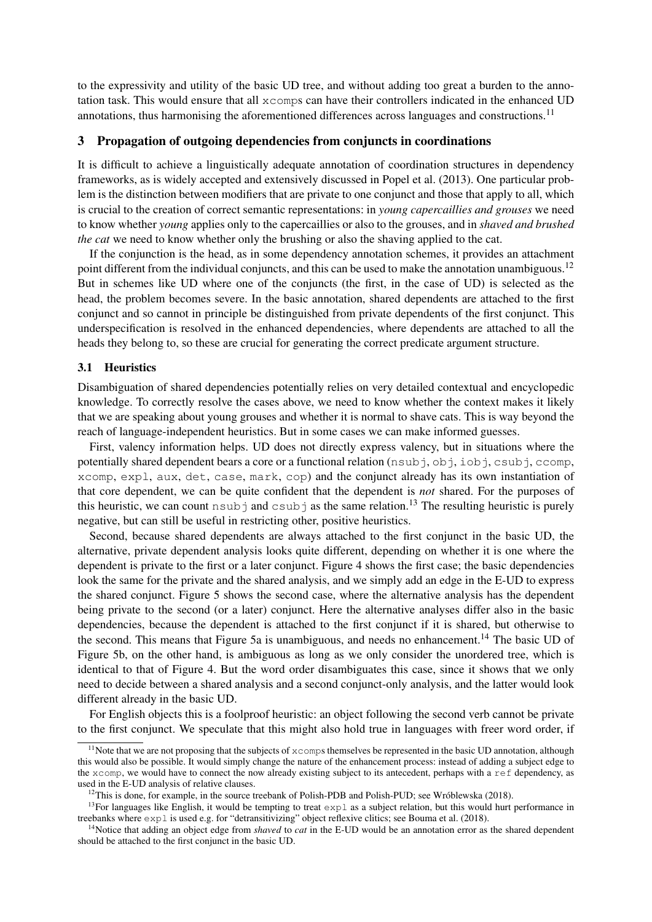to the expressivity and utility of the basic UD tree, and without adding too great a burden to the annotation task. This would ensure that all xcomps can have their controllers indicated in the enhanced UD annotations, thus harmonising the aforementioned differences across languages and constructions.<sup>[11](#page-5-1)</sup>

# <span id="page-5-0"></span>3 Propagation of outgoing dependencies from conjuncts in coordinations

It is difficult to achieve a linguistically adequate annotation of coordination structures in dependency frameworks, as is widely accepted and extensively discussed in [Popel et al. \(2013\)](#page-12-9). One particular problem is the distinction between modifiers that are private to one conjunct and those that apply to all, which is crucial to the creation of correct semantic representations: in *young capercaillies and grouses* we need to know whether *young* applies only to the capercaillies or also to the grouses, and in *shaved and brushed the cat* we need to know whether only the brushing or also the shaving applied to the cat.

If the conjunction is the head, as in some dependency annotation schemes, it provides an attachment point different from the individual conjuncts, and this can be used to make the annotation unambiguous.<sup>[12](#page-5-2)</sup> But in schemes like UD where one of the conjuncts (the first, in the case of UD) is selected as the head, the problem becomes severe. In the basic annotation, shared dependents are attached to the first conjunct and so cannot in principle be distinguished from private dependents of the first conjunct. This underspecification is resolved in the enhanced dependencies, where dependents are attached to all the heads they belong to, so these are crucial for generating the correct predicate argument structure.

# 3.1 Heuristics

Disambiguation of shared dependencies potentially relies on very detailed contextual and encyclopedic knowledge. To correctly resolve the cases above, we need to know whether the context makes it likely that we are speaking about young grouses and whether it is normal to shave cats. This is way beyond the reach of language-independent heuristics. But in some cases we can make informed guesses.

First, valency information helps. UD does not directly express valency, but in situations where the potentially shared dependent bears a core or a functional relation ( $nsub$ ),  $obj$ ,  $obj$ ,  $csub$ ),  $csub$ ),  $ccomp$ , xcomp, expl, aux, det, case, mark, cop) and the conjunct already has its own instantiation of that core dependent, we can be quite confident that the dependent is *not* shared. For the purposes of this heuristic, we can count  $nsub$  and  $csub$  as the same relation.<sup>[13](#page-5-3)</sup> The resulting heuristic is purely negative, but can still be useful in restricting other, positive heuristics.

Second, because shared dependents are always attached to the first conjunct in the basic UD, the alternative, private dependent analysis looks quite different, depending on whether it is one where the dependent is private to the first or a later conjunct. Figure [4](#page-6-0) shows the first case; the basic dependencies look the same for the private and the shared analysis, and we simply add an edge in the E-UD to express the shared conjunct. Figure [5](#page-6-0) shows the second case, where the alternative analysis has the dependent being private to the second (or a later) conjunct. Here the alternative analyses differ also in the basic dependencies, because the dependent is attached to the first conjunct if it is shared, but otherwise to the second. This means that Figure [5a](#page-6-0) is unambiguous, and needs no enhancement.<sup>[14](#page-5-4)</sup> The basic UD of Figure [5b](#page-6-0), on the other hand, is ambiguous as long as we only consider the unordered tree, which is identical to that of Figure [4.](#page-6-0) But the word order disambiguates this case, since it shows that we only need to decide between a shared analysis and a second conjunct-only analysis, and the latter would look different already in the basic UD.

For English objects this is a foolproof heuristic: an object following the second verb cannot be private to the first conjunct. We speculate that this might also hold true in languages with freer word order, if

<span id="page-5-1"></span><sup>&</sup>lt;sup>11</sup>Note that we are not proposing that the subjects of  $x$ comps themselves be represented in the basic UD annotation, although this would also be possible. It would simply change the nature of the enhancement process: instead of adding a subject edge to the xcomp, we would have to connect the now already existing subject to its antecedent, perhaps with a ref dependency, as used in the E-UD analysis of relative clauses.

<span id="page-5-3"></span><span id="page-5-2"></span> $12$ This is done, for example, in the source treebank of Polish-PDB and Polish-PUD; see [Wróblewska \(2018\)](#page-12-10).

<sup>&</sup>lt;sup>13</sup>For languages like English, it would be tempting to treat  $\exp l$  as a subject relation, but this would hurt performance in treebanks where expl is used e.g. for "detransitivizing" object reflexive clitics; see [Bouma et al. \(2018\)](#page-11-3).

<span id="page-5-4"></span><sup>14</sup>Notice that adding an object edge from *shaved* to *cat* in the E-UD would be an annotation error as the shared dependent should be attached to the first conjunct in the basic UD.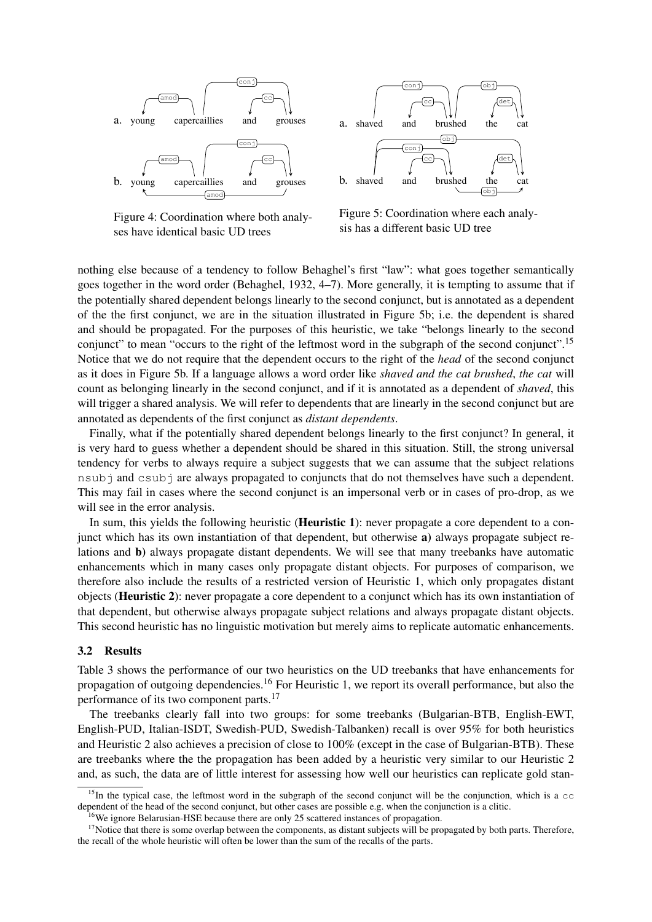<span id="page-6-0"></span>

Figure 4: Coordination where both analyses have identical basic UD trees



Figure 5: Coordination where each analysis has a different basic UD tree

nothing else because of a tendency to follow Behaghel's first "law": what goes together semantically goes together in the word order [\(Behaghel, 1932,](#page-11-4) 4–7). More generally, it is tempting to assume that if the potentially shared dependent belongs linearly to the second conjunct, but is annotated as a dependent of the the first conjunct, we are in the situation illustrated in Figure [5b](#page-6-0); i.e. the dependent is shared and should be propagated. For the purposes of this heuristic, we take "belongs linearly to the second conjunct" to mean "occurs to the right of the leftmost word in the subgraph of the second conjunct".<sup>[15](#page-6-1)</sup> Notice that we do not require that the dependent occurs to the right of the *head* of the second conjunct as it does in Figure [5b](#page-6-0). If a language allows a word order like *shaved and the cat brushed*, *the cat* will count as belonging linearly in the second conjunct, and if it is annotated as a dependent of *shaved*, this will trigger a shared analysis. We will refer to dependents that are linearly in the second conjunct but are annotated as dependents of the first conjunct as *distant dependents*.

Finally, what if the potentially shared dependent belongs linearly to the first conjunct? In general, it is very hard to guess whether a dependent should be shared in this situation. Still, the strong universal tendency for verbs to always require a subject suggests that we can assume that the subject relations nsubj and csubj are always propagated to conjuncts that do not themselves have such a dependent. This may fail in cases where the second conjunct is an impersonal verb or in cases of pro-drop, as we will see in the error analysis.

In sum, this yields the following heuristic (**Heuristic 1**): never propagate a core dependent to a conjunct which has its own instantiation of that dependent, but otherwise a) always propagate subject relations and b) always propagate distant dependents. We will see that many treebanks have automatic enhancements which in many cases only propagate distant objects. For purposes of comparison, we therefore also include the results of a restricted version of Heuristic 1, which only propagates distant objects (Heuristic 2): never propagate a core dependent to a conjunct which has its own instantiation of that dependent, but otherwise always propagate subject relations and always propagate distant objects. This second heuristic has no linguistic motivation but merely aims to replicate automatic enhancements.

#### 3.2 Results

Table [3](#page-7-0) shows the performance of our two heuristics on the UD treebanks that have enhancements for propagation of outgoing dependencies.[16](#page-6-2) For Heuristic 1, we report its overall performance, but also the performance of its two component parts.[17](#page-6-3)

The treebanks clearly fall into two groups: for some treebanks (Bulgarian-BTB, English-EWT, English-PUD, Italian-ISDT, Swedish-PUD, Swedish-Talbanken) recall is over 95% for both heuristics and Heuristic 2 also achieves a precision of close to 100% (except in the case of Bulgarian-BTB). These are treebanks where the the propagation has been added by a heuristic very similar to our Heuristic 2 and, as such, the data are of little interest for assessing how well our heuristics can replicate gold stan-

<span id="page-6-1"></span><sup>&</sup>lt;sup>15</sup>In the typical case, the leftmost word in the subgraph of the second conjunct will be the conjunction, which is a  $\infty$ dependent of the head of the second conjunct, but other cases are possible e.g. when the conjunction is a clitic.

<span id="page-6-3"></span><span id="page-6-2"></span><sup>&</sup>lt;sup>16</sup>We ignore Belarusian-HSE because there are only 25 scattered instances of propagation.

 $17$ Notice that there is some overlap between the components, as distant subjects will be propagated by both parts. Therefore, the recall of the whole heuristic will often be lower than the sum of the recalls of the parts.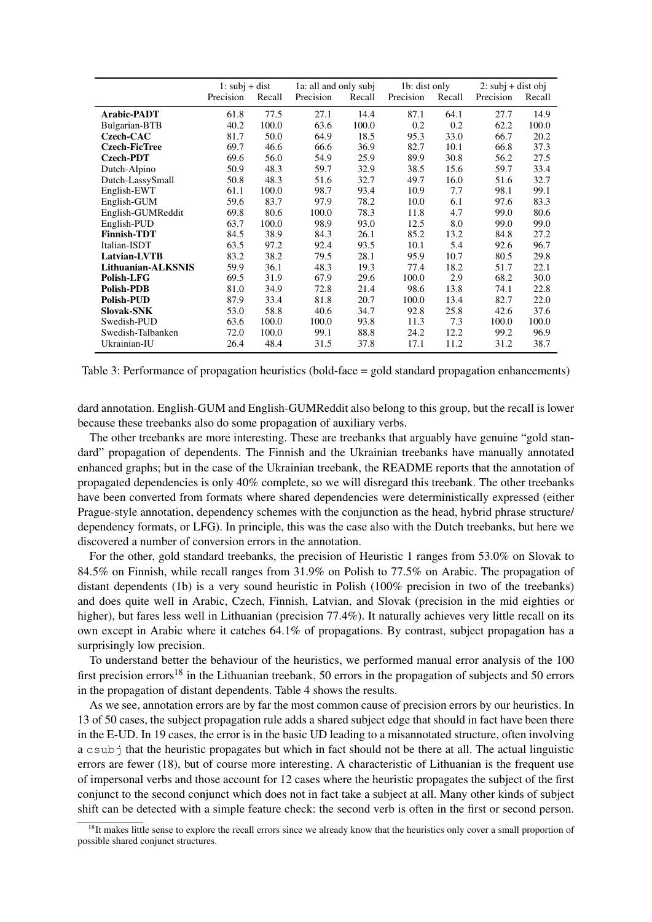<span id="page-7-0"></span>

|                      |           | 1: $subj + dist$<br>1a: all and only subj |           | 1b: dist only |           | 2: $subi$ + dist obj |           |        |
|----------------------|-----------|-------------------------------------------|-----------|---------------|-----------|----------------------|-----------|--------|
|                      | Precision | Recall                                    | Precision | Recall        | Precision | Recall               | Precision | Recall |
| <b>Arabic-PADT</b>   | 61.8      | 77.5                                      | 27.1      | 14.4          | 87.1      | 64.1                 | 27.7      | 14.9   |
| Bulgarian-BTB        | 40.2      | 100.0                                     | 63.6      | 100.0         | 0.2       | 0.2                  | 62.2      | 100.0  |
| Czech-CAC            | 81.7      | 50.0                                      | 64.9      | 18.5          | 95.3      | 33.0                 | 66.7      | 20.2   |
| <b>Czech-FicTree</b> | 69.7      | 46.6                                      | 66.6      | 36.9          | 82.7      | 10.1                 | 66.8      | 37.3   |
| <b>Czech-PDT</b>     | 69.6      | 56.0                                      | 54.9      | 25.9          | 89.9      | 30.8                 | 56.2      | 27.5   |
| Dutch-Alpino         | 50.9      | 48.3                                      | 59.7      | 32.9          | 38.5      | 15.6                 | 59.7      | 33.4   |
| Dutch-LassySmall     | 50.8      | 48.3                                      | 51.6      | 32.7          | 49.7      | 16.0                 | 51.6      | 32.7   |
| English-EWT          | 61.1      | 100.0                                     | 98.7      | 93.4          | 10.9      | 7.7                  | 98.1      | 99.1   |
| English-GUM          | 59.6      | 83.7                                      | 97.9      | 78.2          | 10.0      | 6.1                  | 97.6      | 83.3   |
| English-GUMReddit    | 69.8      | 80.6                                      | 100.0     | 78.3          | 11.8      | 4.7                  | 99.0      | 80.6   |
| English-PUD          | 63.7      | 100.0                                     | 98.9      | 93.0          | 12.5      | 8.0                  | 99.0      | 99.0   |
| <b>Finnish-TDT</b>   | 84.5      | 38.9                                      | 84.3      | 26.1          | 85.2      | 13.2                 | 84.8      | 27.2   |
| Italian-ISDT         | 63.5      | 97.2                                      | 92.4      | 93.5          | 10.1      | 5.4                  | 92.6      | 96.7   |
| Latvian-LVTB         | 83.2      | 38.2                                      | 79.5      | 28.1          | 95.9      | 10.7                 | 80.5      | 29.8   |
| Lithuanian-ALKSNIS   | 59.9      | 36.1                                      | 48.3      | 19.3          | 77.4      | 18.2                 | 51.7      | 22.1   |
| Polish-LFG           | 69.5      | 31.9                                      | 67.9      | 29.6          | 100.0     | 2.9                  | 68.2      | 30.0   |
| <b>Polish-PDB</b>    | 81.0      | 34.9                                      | 72.8      | 21.4          | 98.6      | 13.8                 | 74.1      | 22.8   |
| <b>Polish-PUD</b>    | 87.9      | 33.4                                      | 81.8      | 20.7          | 100.0     | 13.4                 | 82.7      | 22.0   |
| <b>Slovak-SNK</b>    | 53.0      | 58.8                                      | 40.6      | 34.7          | 92.8      | 25.8                 | 42.6      | 37.6   |
| Swedish-PUD          | 63.6      | 100.0                                     | 100.0     | 93.8          | 11.3      | 7.3                  | 100.0     | 100.0  |
| Swedish-Talbanken    | 72.0      | 100.0                                     | 99.1      | 88.8          | 24.2      | 12.2                 | 99.2      | 96.9   |
| Ukrainian-IU         | 26.4      | 48.4                                      | 31.5      | 37.8          | 17.1      | 11.2                 | 31.2      | 38.7   |

Table 3: Performance of propagation heuristics (bold-face = gold standard propagation enhancements)

dard annotation. English-GUM and English-GUMReddit also belong to this group, but the recall is lower because these treebanks also do some propagation of auxiliary verbs.

The other treebanks are more interesting. These are treebanks that arguably have genuine "gold standard" propagation of dependents. The Finnish and the Ukrainian treebanks have manually annotated enhanced graphs; but in the case of the Ukrainian treebank, the README reports that the annotation of propagated dependencies is only 40% complete, so we will disregard this treebank. The other treebanks have been converted from formats where shared dependencies were deterministically expressed (either Prague-style annotation, dependency schemes with the conjunction as the head, hybrid phrase structure/ dependency formats, or LFG). In principle, this was the case also with the Dutch treebanks, but here we discovered a number of conversion errors in the annotation.

For the other, gold standard treebanks, the precision of Heuristic 1 ranges from 53.0% on Slovak to 84.5% on Finnish, while recall ranges from 31.9% on Polish to 77.5% on Arabic. The propagation of distant dependents (1b) is a very sound heuristic in Polish (100% precision in two of the treebanks) and does quite well in Arabic, Czech, Finnish, Latvian, and Slovak (precision in the mid eighties or higher), but fares less well in Lithuanian (precision 77.4%). It naturally achieves very little recall on its own except in Arabic where it catches 64.1% of propagations. By contrast, subject propagation has a surprisingly low precision.

To understand better the behaviour of the heuristics, we performed manual error analysis of the 100 first precision errors<sup>[18](#page-7-1)</sup> in the Lithuanian treebank, 50 errors in the propagation of subjects and 50 errors in the propagation of distant dependents. Table [4](#page-8-1) shows the results.

As we see, annotation errors are by far the most common cause of precision errors by our heuristics. In 13 of 50 cases, the subject propagation rule adds a shared subject edge that should in fact have been there in the E-UD. In 19 cases, the error is in the basic UD leading to a misannotated structure, often involving a csubj that the heuristic propagates but which in fact should not be there at all. The actual linguistic errors are fewer (18), but of course more interesting. A characteristic of Lithuanian is the frequent use of impersonal verbs and those account for 12 cases where the heuristic propagates the subject of the first conjunct to the second conjunct which does not in fact take a subject at all. Many other kinds of subject shift can be detected with a simple feature check: the second verb is often in the first or second person.

<span id="page-7-1"></span> $18$ It makes little sense to explore the recall errors since we already know that the heuristics only cover a small proportion of possible shared conjunct structures.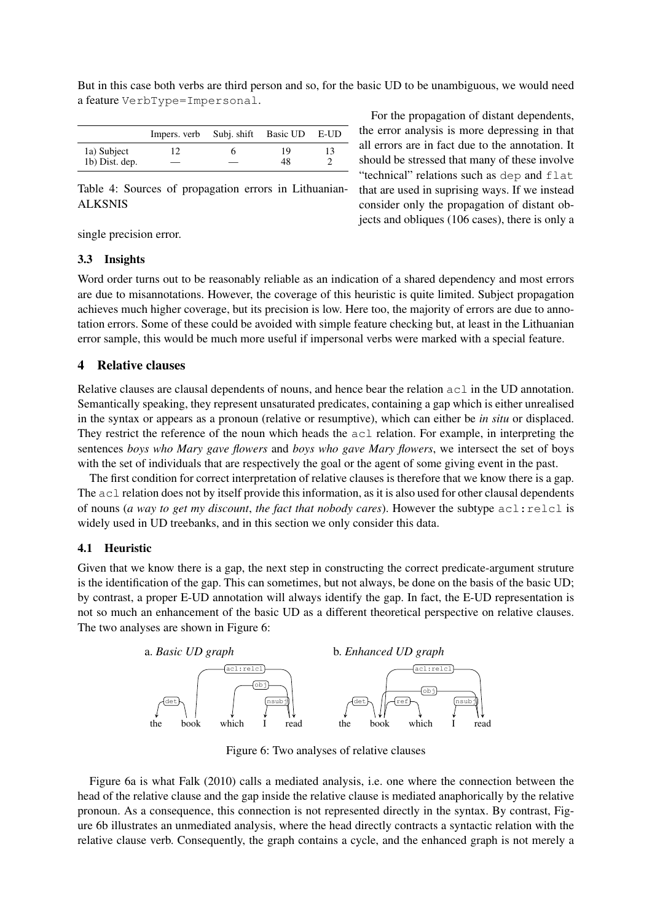<span id="page-8-1"></span>

|                | Impers. verb Subj. shift Basic UD E-UD |    |  |
|----------------|----------------------------------------|----|--|
| 1a) Subject    |                                        | 19 |  |
| 1b) Dist. dep. |                                        | 48 |  |

But in this case both verbs are third person and so, for the basic UD to be unambiguous, we would need a feature VerbType=Impersonal.

Table 4: Sources of propagation errors in Lithuanian-ALKSNIS

For the propagation of distant dependents, the error analysis is more depressing in that all errors are in fact due to the annotation. It should be stressed that many of these involve "technical" relations such as dep and flat that are used in suprising ways. If we instead consider only the propagation of distant objects and obliques (106 cases), there is only a

single precision error.

# 3.3 Insights

Word order turns out to be reasonably reliable as an indication of a shared dependency and most errors are due to misannotations. However, the coverage of this heuristic is quite limited. Subject propagation achieves much higher coverage, but its precision is low. Here too, the majority of errors are due to annotation errors. Some of these could be avoided with simple feature checking but, at least in the Lithuanian error sample, this would be much more useful if impersonal verbs were marked with a special feature.

# <span id="page-8-0"></span>4 Relative clauses

Relative clauses are clausal dependents of nouns, and hence bear the relation  $ac \perp in$  the UD annotation. Semantically speaking, they represent unsaturated predicates, containing a gap which is either unrealised in the syntax or appears as a pronoun (relative or resumptive), which can either be *in situ* or displaced. They restrict the reference of the noun which heads the acl relation. For example, in interpreting the sentences *boys who Mary gave flowers* and *boys who gave Mary flowers*, we intersect the set of boys with the set of individuals that are respectively the goal or the agent of some giving event in the past.

The first condition for correct interpretation of relative clauses is therefore that we know there is a gap. The  $ac1$  relation does not by itself provide this information, as it is also used for other clausal dependents of nouns (*a way to get my discount*, *the fact that nobody cares*). However the subtype acl:relcl is widely used in UD treebanks, and in this section we only consider this data.

# 4.1 Heuristic

Given that we know there is a gap, the next step in constructing the correct predicate-argument struture is the identification of the gap. This can sometimes, but not always, be done on the basis of the basic UD; by contrast, a proper E-UD annotation will always identify the gap. In fact, the E-UD representation is not so much an enhancement of the basic UD as a different theoretical perspective on relative clauses. The two analyses are shown in Figure [6:](#page-8-2)

<span id="page-8-2"></span>

Figure 6: Two analyses of relative clauses

Figure [6a](#page-8-2) is what [Falk \(2010\)](#page-11-5) calls a mediated analysis, i.e. one where the connection between the head of the relative clause and the gap inside the relative clause is mediated anaphorically by the relative pronoun. As a consequence, this connection is not represented directly in the syntax. By contrast, Figure [6b](#page-8-2) illustrates an unmediated analysis, where the head directly contracts a syntactic relation with the relative clause verb. Consequently, the graph contains a cycle, and the enhanced graph is not merely a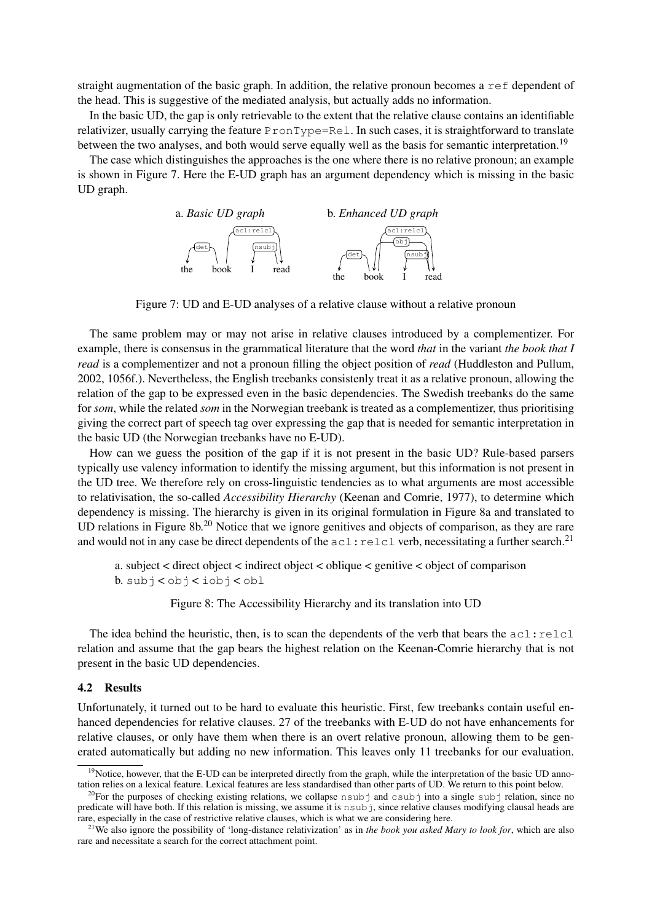straight augmentation of the basic graph. In addition, the relative pronoun becomes a ref dependent of the head. This is suggestive of the mediated analysis, but actually adds no information.

In the basic UD, the gap is only retrievable to the extent that the relative clause contains an identifiable relativizer, usually carrying the feature PronType=Rel. In such cases, it is straightforward to translate between the two analyses, and both would serve equally well as the basis for semantic interpretation.<sup>[19](#page-9-0)</sup>

<span id="page-9-1"></span>The case which distinguishes the approaches is the one where there is no relative pronoun; an example is shown in Figure [7.](#page-9-1) Here the E-UD graph has an argument dependency which is missing in the basic UD graph.



Figure 7: UD and E-UD analyses of a relative clause without a relative pronoun

The same problem may or may not arise in relative clauses introduced by a complementizer. For example, there is consensus in the grammatical literature that the word *that* in the variant *the book that I read* is a complementizer and not a pronoun filling the object position of *read* [\(Huddleston and Pullum,](#page-11-6) [2002,](#page-11-6) 1056f.). Nevertheless, the English treebanks consistenly treat it as a relative pronoun, allowing the relation of the gap to be expressed even in the basic dependencies. The Swedish treebanks do the same for *som*, while the related *som* in the Norwegian treebank is treated as a complementizer, thus prioritising giving the correct part of speech tag over expressing the gap that is needed for semantic interpretation in the basic UD (the Norwegian treebanks have no E-UD).

How can we guess the position of the gap if it is not present in the basic UD? Rule-based parsers typically use valency information to identify the missing argument, but this information is not present in the UD tree. We therefore rely on cross-linguistic tendencies as to what arguments are most accessible to relativisation, the so-called *Accessibility Hierarchy* [\(Keenan and Comrie, 1977\)](#page-12-11), to determine which dependency is missing. The hierarchy is given in its original formulation in Figure [8a](#page-9-2) and translated to UD relations in Figure [8b](#page-9-2)<sup>[20](#page-9-3)</sup> Notice that we ignore genitives and objects of comparison, as they are rare and would not in any case be direct dependents of the  $ac1$ :  $relcl$  verb, necessitating a further search.<sup>[21](#page-9-4)</sup>

<span id="page-9-2"></span>a. subject < direct object < indirect object < oblique < genitive < object of comparison b. subj < obj < iobj < obl

Figure 8: The Accessibility Hierarchy and its translation into UD

The idea behind the heuristic, then, is to scan the dependents of the verb that bears the  $\text{acl:relcl}$ relation and assume that the gap bears the highest relation on the Keenan-Comrie hierarchy that is not present in the basic UD dependencies.

# 4.2 Results

Unfortunately, it turned out to be hard to evaluate this heuristic. First, few treebanks contain useful enhanced dependencies for relative clauses. 27 of the treebanks with E-UD do not have enhancements for relative clauses, or only have them when there is an overt relative pronoun, allowing them to be generated automatically but adding no new information. This leaves only 11 treebanks for our evaluation.

<span id="page-9-0"></span><sup>&</sup>lt;sup>19</sup>Notice, however, that the E-UD can be interpreted directly from the graph, while the interpretation of the basic UD annotation relies on a lexical feature. Lexical features are less standardised than other parts of UD. We return to this point below.

<span id="page-9-3"></span> $^{20}$ For the purposes of checking existing relations, we collapse nsubj and csubj into a single subj relation, since no predicate will have both. If this relation is missing, we assume it is nsubj, since relative clauses modifying clausal heads are rare, especially in the case of restrictive relative clauses, which is what we are considering here.

<span id="page-9-4"></span><sup>21</sup>We also ignore the possibility of 'long-distance relativization' as in *the book you asked Mary to look for*, which are also rare and necessitate a search for the correct attachment point.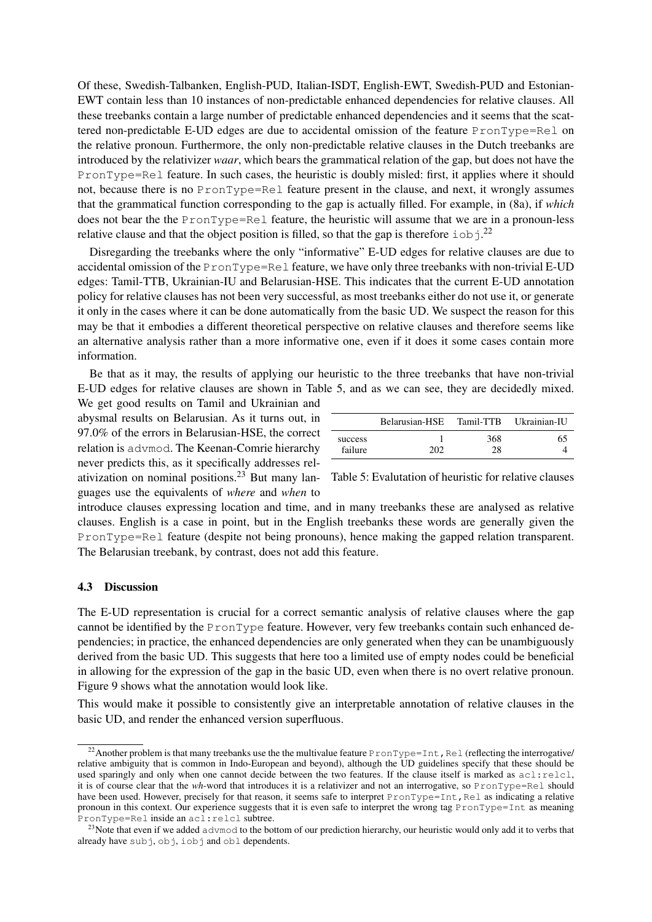Of these, Swedish-Talbanken, English-PUD, Italian-ISDT, English-EWT, Swedish-PUD and Estonian-EWT contain less than 10 instances of non-predictable enhanced dependencies for relative clauses. All these treebanks contain a large number of predictable enhanced dependencies and it seems that the scattered non-predictable E-UD edges are due to accidental omission of the feature PronType=Rel on the relative pronoun. Furthermore, the only non-predictable relative clauses in the Dutch treebanks are introduced by the relativizer *waar*, which bears the grammatical relation of the gap, but does not have the PronType=Rel feature. In such cases, the heuristic is doubly misled: first, it applies where it should not, because there is no PronType=Rel feature present in the clause, and next, it wrongly assumes that the grammatical function corresponding to the gap is actually filled. For example, in (8a), if *which* does not bear the the PronType=Rel feature, the heuristic will assume that we are in a pronoun-less relative clause and that the object position is filled, so that the gap is therefore  $\text{i} \circ \text{b}$  j.<sup>[22](#page-10-0)</sup>

Disregarding the treebanks where the only "informative" E-UD edges for relative clauses are due to accidental omission of the PronType=Rel feature, we have only three treebanks with non-trivial E-UD edges: Tamil-TTB, Ukrainian-IU and Belarusian-HSE. This indicates that the current E-UD annotation policy for relative clauses has not been very successful, as most treebanks either do not use it, or generate it only in the cases where it can be done automatically from the basic UD. We suspect the reason for this may be that it embodies a different theoretical perspective on relative clauses and therefore seems like an alternative analysis rather than a more informative one, even if it does it some cases contain more information.

Be that as it may, the results of applying our heuristic to the three treebanks that have non-trivial E-UD edges for relative clauses are shown in Table [5,](#page-10-1) and as we can see, they are decidedly mixed.

ativization on nominal positions.<sup>[23](#page-10-2)</sup> But many lan- Table 5: Evalutation of heuristic for relative clauses We get good results on Tamil and Ukrainian and abysmal results on Belarusian. As it turns out, in 97.0% of the errors in Belarusian-HSE, the correct relation is advmod. The Keenan-Comrie hierarchy never predicts this, as it specifically addresses relguages use the equivalents of *where* and *when* to

<span id="page-10-1"></span>

|                    | Belarusian-HSE Tamil-TTB Ukrainian-IU |           |    |
|--------------------|---------------------------------------|-----------|----|
| success<br>failure | ാറാ                                   | 368<br>28 | 65 |

introduce clauses expressing location and time, and in many treebanks these are analysed as relative clauses. English is a case in point, but in the English treebanks these words are generally given the PronType=Rel feature (despite not being pronouns), hence making the gapped relation transparent. The Belarusian treebank, by contrast, does not add this feature.

# 4.3 Discussion

The E-UD representation is crucial for a correct semantic analysis of relative clauses where the gap cannot be identified by the PronType feature. However, very few treebanks contain such enhanced dependencies; in practice, the enhanced dependencies are only generated when they can be unambiguously derived from the basic UD. This suggests that here too a limited use of empty nodes could be beneficial in allowing for the expression of the gap in the basic UD, even when there is no overt relative pronoun. Figure [9](#page-11-7) shows what the annotation would look like.

This would make it possible to consistently give an interpretable annotation of relative clauses in the basic UD, and render the enhanced version superfluous.

<span id="page-10-0"></span><sup>&</sup>lt;sup>22</sup> Another problem is that many treebanks use the the multivalue feature PronType=Int, Rel (reflecting the interrogative/ relative ambiguity that is common in Indo-European and beyond), although the UD guidelines specify that these should be used sparingly and only when one cannot decide between the two features. If the clause itself is marked as  $\text{acl}$ : relcl, it is of course clear that the *wh*-word that introduces it is a relativizer and not an interrogative, so PronType=Rel should have been used. However, precisely for that reason, it seems safe to interpret PronType=Int, Rel as indicating a relative pronoun in this context. Our experience suggests that it is even safe to interpret the wrong tag PronType=Int as meaning PronType=Rel inside an acl:relcl subtree.

<span id="page-10-2"></span><sup>&</sup>lt;sup>23</sup>Note that even if we added advmod to the bottom of our prediction hierarchy, our heuristic would only add it to verbs that already have  $sub$ j,  $obj$ ,  $job$ j and  $obl$  dependents.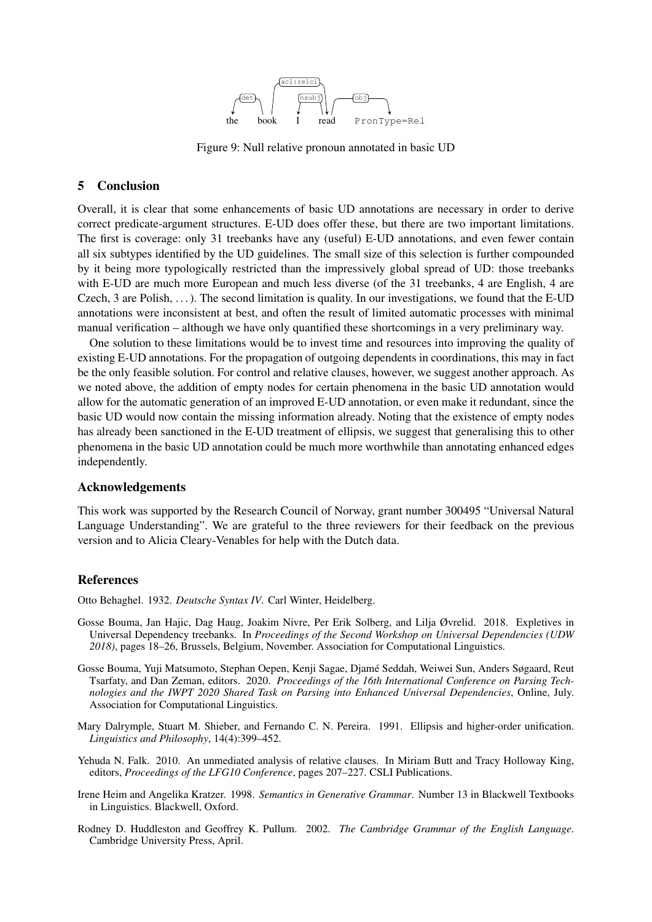

Figure 9: Null relative pronoun annotated in basic UD

# <span id="page-11-7"></span>5 Conclusion

Overall, it is clear that some enhancements of basic UD annotations are necessary in order to derive correct predicate-argument structures. E-UD does offer these, but there are two important limitations. The first is coverage: only 31 treebanks have any (useful) E-UD annotations, and even fewer contain all six subtypes identified by the UD guidelines. The small size of this selection is further compounded by it being more typologically restricted than the impressively global spread of UD: those treebanks with E-UD are much more European and much less diverse (of the 31 treebanks, 4 are English, 4 are Czech, 3 are Polish,  $\dots$ ). The second limitation is quality. In our investigations, we found that the E-UD annotations were inconsistent at best, and often the result of limited automatic processes with minimal manual verification – although we have only quantified these shortcomings in a very preliminary way.

One solution to these limitations would be to invest time and resources into improving the quality of existing E-UD annotations. For the propagation of outgoing dependents in coordinations, this may in fact be the only feasible solution. For control and relative clauses, however, we suggest another approach. As we noted above, the addition of empty nodes for certain phenomena in the basic UD annotation would allow for the automatic generation of an improved E-UD annotation, or even make it redundant, since the basic UD would now contain the missing information already. Noting that the existence of empty nodes has already been sanctioned in the E-UD treatment of ellipsis, we suggest that generalising this to other phenomena in the basic UD annotation could be much more worthwhile than annotating enhanced edges independently.

# Acknowledgements

This work was supported by the Research Council of Norway, grant number 300495 "Universal Natural Language Understanding". We are grateful to the three reviewers for their feedback on the previous version and to Alicia Cleary-Venables for help with the Dutch data.

# References

<span id="page-11-4"></span>Otto Behaghel. 1932. *Deutsche Syntax IV*. Carl Winter, Heidelberg.

- <span id="page-11-3"></span>Gosse Bouma, Jan Hajic, Dag Haug, Joakim Nivre, Per Erik Solberg, and Lilja Øvrelid. 2018. Expletives in Universal Dependency treebanks. In *Proceedings of the Second Workshop on Universal Dependencies (UDW 2018)*, pages 18–26, Brussels, Belgium, November. Association for Computational Linguistics.
- <span id="page-11-1"></span>Gosse Bouma, Yuji Matsumoto, Stephan Oepen, Kenji Sagae, Djamé Seddah, Weiwei Sun, Anders Søgaard, Reut Tsarfaty, and Dan Zeman, editors. 2020. *Proceedings of the 16th International Conference on Parsing Technologies and the IWPT 2020 Shared Task on Parsing into Enhanced Universal Dependencies*, Online, July. Association for Computational Linguistics.
- <span id="page-11-2"></span>Mary Dalrymple, Stuart M. Shieber, and Fernando C. N. Pereira. 1991. Ellipsis and higher-order unification. *Linguistics and Philosophy*, 14(4):399–452.
- <span id="page-11-5"></span>Yehuda N. Falk. 2010. An unmediated analysis of relative clauses. In Miriam Butt and Tracy Holloway King, editors, *Proceedings of the LFG10 Conference*, pages 207–227. CSLI Publications.
- <span id="page-11-0"></span>Irene Heim and Angelika Kratzer. 1998. *Semantics in Generative Grammar*. Number 13 in Blackwell Textbooks in Linguistics. Blackwell, Oxford.
- <span id="page-11-6"></span>Rodney D. Huddleston and Geoffrey K. Pullum. 2002. *The Cambridge Grammar of the English Language*. Cambridge University Press, April.